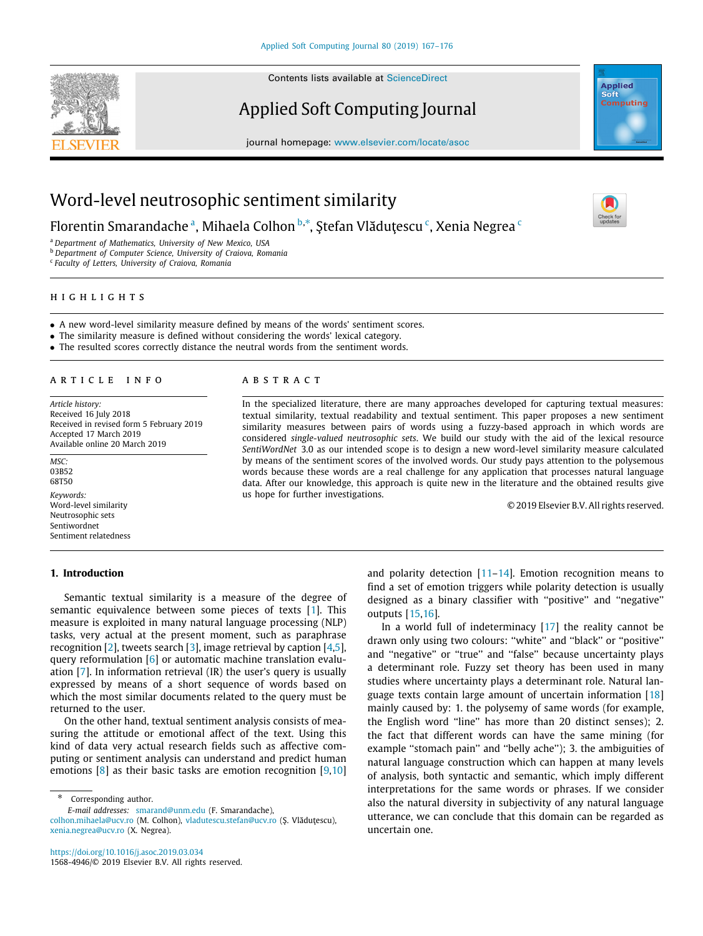SEVIER

Contents lists available at [ScienceDirect](http://www.elsevier.com/locate/asoc)

## Applied Soft Computing Journal



journal homepage: [www.elsevier.com/locate/asoc](http://www.elsevier.com/locate/asoc)

# Word-level neutrosophic sentiment similarity

Florentin Sm[a](#page-0-0)randache ª, Mihaela Colhon <sup>[b](#page-0-1),</sup>\*, Ştefan Vlăduţes[c](#page-0-3)u <sup>c</sup>, Xenia Negrea <sup>c</sup>

<span id="page-0-0"></span><sup>a</sup> *Department of Mathematics, University of New Mexico, USA*

<span id="page-0-1"></span><sup>b</sup> *Department of Computer Science, University of Craiova, Romania*

<span id="page-0-3"></span>c *Faculty of Letters, University of Craiova, Romania*

## h i g h l i g h t s

• A new word-level similarity measure defined by means of the words' sentiment scores.

• The similarity measure is defined without considering the words' lexical category.

• The resulted scores correctly distance the neutral words from the sentiment words.

## a r t i c l e i n f o

*Article history:* Received 16 July 2018 Received in revised form 5 February 2019 Accepted 17 March 2019 Available online 20 March 2019

03B52 68T50 *Keywords:* Word-level similarity Neutrosophic sets Sentiwordnet Sentiment relatedness

*MSC:*

## **1. Introduction**

## A B S T R A C T

In the specialized literature, there are many approaches developed for capturing textual measures: textual similarity, textual readability and textual sentiment. This paper proposes a new sentiment similarity measures between pairs of words using a fuzzy-based approach in which words are considered *single-valued neutrosophic sets*. We build our study with the aid of the lexical resource *SentiWordNet* 3.0 as our intended scope is to design a new word-level similarity measure calculated by means of the sentiment scores of the involved words. Our study pays attention to the polysemous words because these words are a real challenge for any application that processes natural language data. After our knowledge, this approach is quite new in the literature and the obtained results give us hope for further investigations.

© 2019 Elsevier B.V. All rights reserved.

Semantic textual similarity is a measure of the degree of semantic equivalence between some pieces of texts [\[1\]](#page-7-0). This measure is exploited in many natural language processing (NLP) tasks, very actual at the present moment, such as paraphrase recognition [\[2](#page-7-1)], tweets search [[3](#page-7-2)], image retrieval by caption [\[4,](#page-7-3)[5\]](#page-7-4), query reformulation [[6](#page-7-5)] or automatic machine translation evaluation [\[7\]](#page-7-6). In information retrieval (IR) the user's query is usually expressed by means of a short sequence of words based on which the most similar documents related to the query must be returned to the user.

On the other hand, textual sentiment analysis consists of measuring the attitude or emotional affect of the text. Using this kind of data very actual research fields such as affective computing or sentiment analysis can understand and predict human emotions [[8](#page-7-7)] as their basic tasks are emotion recognition [\[9](#page-7-8),[10\]](#page-7-9)

<span id="page-0-2"></span>Corresponding author.

*E-mail addresses:* [smarand@unm.edu](mailto:smarand@unm.edu) (F. Smarandache),

[colhon.mihaela@ucv.ro](mailto:colhon.mihaela@ucv.ro) (M. Colhon), [vladutescu.stefan@ucv.ro](mailto:vladutescu.stefan@ucv.ro) (Ş. Vlăduţescu), [xenia.negrea@ucv.ro](mailto:xenia.negrea@ucv.ro) (X. Negrea).

and polarity detection [[11](#page-7-10)–[14\]](#page-7-11). Emotion recognition means to find a set of emotion triggers while polarity detection is usually designed as a binary classifier with ''positive'' and ''negative'' outputs [[15](#page-7-12)[,16\]](#page-7-13).

In a world full of indeterminacy [\[17\]](#page-7-14) the reality cannot be drawn only using two colours: ''white'' and ''black'' or ''positive'' and ''negative'' or ''true'' and ''false'' because uncertainty plays a determinant role. Fuzzy set theory has been used in many studies where uncertainty plays a determinant role. Natural language texts contain large amount of uncertain information  $[18]$  $[18]$ mainly caused by: 1. the polysemy of same words (for example, the English word "line" has more than 20 distinct senses); 2. the fact that different words can have the same mining (for example "stomach pain" and "belly ache"); 3. the ambiguities of natural language construction which can happen at many levels of analysis, both syntactic and semantic, which imply different interpretations for the same words or phrases. If we consider also the natural diversity in subjectivity of any natural language utterance, we can conclude that this domain can be regarded as uncertain one.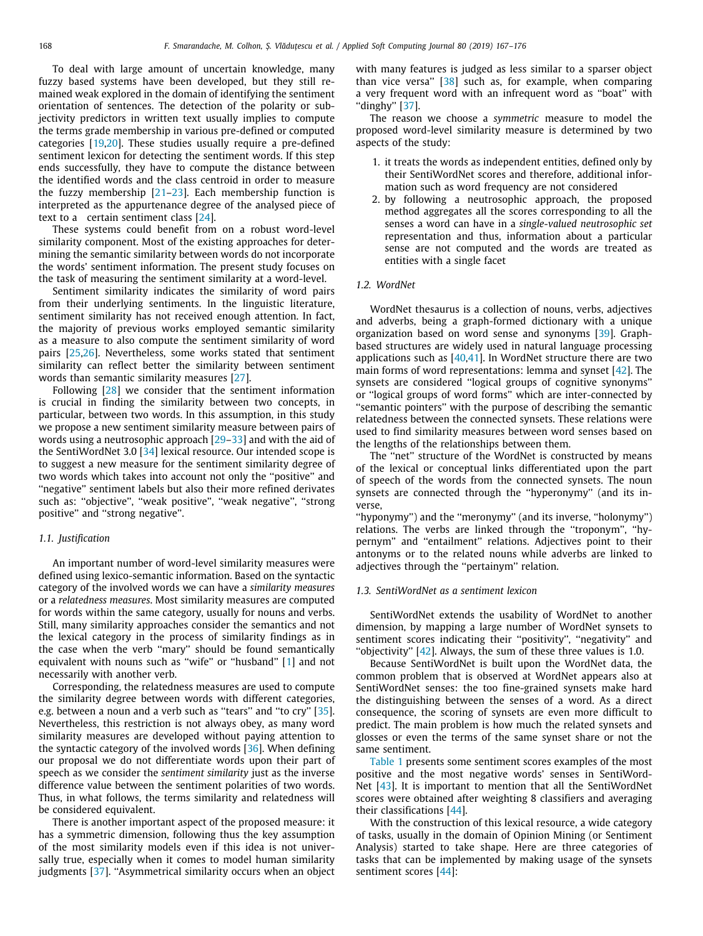To deal with large amount of uncertain knowledge, many fuzzy based systems have been developed, but they still remained weak explored in the domain of identifying the sentiment orientation of sentences. The detection of the polarity or subjectivity predictors in written text usually implies to compute the terms grade membership in various pre-defined or computed categories [[19](#page-7-16)[,20\]](#page-7-17). These studies usually require a pre-defined sentiment lexicon for detecting the sentiment words. If this step ends successfully, they have to compute the distance between the identified words and the class centroid in order to measure the fuzzy membership [\[21–](#page-7-18)[23](#page-7-19)]. Each membership function is interpreted as the appurtenance degree of the analysed piece of text to a certain sentiment class [[24](#page-7-20)].

These systems could benefit from on a robust word-level similarity component. Most of the existing approaches for determining the semantic similarity between words do not incorporate the words' sentiment information. The present study focuses on the task of measuring the sentiment similarity at a word-level.

Sentiment similarity indicates the similarity of word pairs from their underlying sentiments. In the linguistic literature, sentiment similarity has not received enough attention. In fact, the majority of previous works employed semantic similarity as a measure to also compute the sentiment similarity of word pairs [[25](#page-8-0)[,26\]](#page-8-1). Nevertheless, some works stated that sentiment similarity can reflect better the similarity between sentiment words than semantic similarity measures [[27](#page-8-2)].

Following [[28](#page-8-3)] we consider that the sentiment information is crucial in finding the similarity between two concepts, in particular, between two words. In this assumption, in this study we propose a new sentiment similarity measure between pairs of words using a neutrosophic approach [[29](#page-8-4)[–33\]](#page-8-5) and with the aid of the SentiWordNet 3.0 [\[34\]](#page-8-6) lexical resource. Our intended scope is to suggest a new measure for the sentiment similarity degree of two words which takes into account not only the ''positive'' and ''negative'' sentiment labels but also their more refined derivates such as: ''objective'', ''weak positive'', ''weak negative'', ''strong positive'' and ''strong negative''.

#### *1.1. Justification*

An important number of word-level similarity measures were defined using lexico-semantic information. Based on the syntactic category of the involved words we can have a *similarity measures* or a *relatedness measures*. Most similarity measures are computed for words within the same category, usually for nouns and verbs. Still, many similarity approaches consider the semantics and not the lexical category in the process of similarity findings as in the case when the verb "mary" should be found semantically equivalent with nouns such as ''wife'' or ''husband'' [\[1](#page-7-0)] and not necessarily with another verb.

Corresponding, the relatedness measures are used to compute the similarity degree between words with different categories, e.g. between a noun and a verb such as "tears" and "to cry" [\[35\]](#page-8-7). Nevertheless, this restriction is not always obey, as many word similarity measures are developed without paying attention to the syntactic category of the involved words [[36](#page-8-8)]. When defining our proposal we do not differentiate words upon their part of speech as we consider the *sentiment similarity* just as the inverse difference value between the sentiment polarities of two words. Thus, in what follows, the terms similarity and relatedness will be considered equivalent.

There is another important aspect of the proposed measure: it has a symmetric dimension, following thus the key assumption of the most similarity models even if this idea is not universally true, especially when it comes to model human similarity judgments [\[37\]](#page-8-9). ''Asymmetrical similarity occurs when an object with many features is judged as less similar to a sparser object than vice versa'' [[38](#page-8-10)] such as, for example, when comparing a very frequent word with an infrequent word as ''boat'' with ''dinghy'' [[37](#page-8-9)].

The reason we choose a *symmetric* measure to model the proposed word-level similarity measure is determined by two aspects of the study:

- 1. it treats the words as independent entities, defined only by their SentiWordNet scores and therefore, additional information such as word frequency are not considered
- 2. by following a neutrosophic approach, the proposed method aggregates all the scores corresponding to all the senses a word can have in a *single-valued neutrosophic set* representation and thus, information about a particular sense are not computed and the words are treated as entities with a single facet

## *1.2. WordNet*

WordNet thesaurus is a collection of nouns, verbs, adjectives and adverbs, being a graph-formed dictionary with a unique organization based on word sense and synonyms [\[39\]](#page-8-11). Graphbased structures are widely used in natural language processing applications such as  $[40,41]$  $[40,41]$  $[40,41]$ . In WordNet structure there are two main forms of word representations: lemma and synset [[42](#page-8-14)]. The synsets are considered ''logical groups of cognitive synonyms'' or ''logical groups of word forms'' which are inter-connected by ''semantic pointers'' with the purpose of describing the semantic relatedness between the connected synsets. These relations were used to find similarity measures between word senses based on the lengths of the relationships between them.

The "net" structure of the WordNet is constructed by means of the lexical or conceptual links differentiated upon the part of speech of the words from the connected synsets. The noun synsets are connected through the ''hyperonymy'' (and its inverse,

''hyponymy'') and the ''meronymy'' (and its inverse, ''holonymy'') relations. The verbs are linked through the ''troponym'', ''hypernym'' and ''entailment'' relations. Adjectives point to their antonyms or to the related nouns while adverbs are linked to adjectives through the ''pertainym'' relation.

## *1.3. SentiWordNet as a sentiment lexicon*

SentiWordNet extends the usability of WordNet to another dimension, by mapping a large number of WordNet synsets to sentiment scores indicating their ''positivity'', ''negativity'' and "objectivity"  $[42]$  $[42]$  $[42]$ . Always, the sum of these three values is 1.0.

Because SentiWordNet is built upon the WordNet data, the common problem that is observed at WordNet appears also at SentiWordNet senses: the too fine-grained synsets make hard the distinguishing between the senses of a word. As a direct consequence, the scoring of synsets are even more difficult to predict. The main problem is how much the related synsets and glosses or even the terms of the same synset share or not the same sentiment.

[Table](#page-2-0) [1](#page-2-0) presents some sentiment scores examples of the most positive and the most negative words' senses in SentiWord-Net [[43\]](#page-8-15). It is important to mention that all the SentiWordNet scores were obtained after weighting 8 classifiers and averaging their classifications [[44](#page-8-16)].

With the construction of this lexical resource, a wide category of tasks, usually in the domain of Opinion Mining (or Sentiment Analysis) started to take shape. Here are three categories of tasks that can be implemented by making usage of the synsets sentiment scores [[44](#page-8-16)]: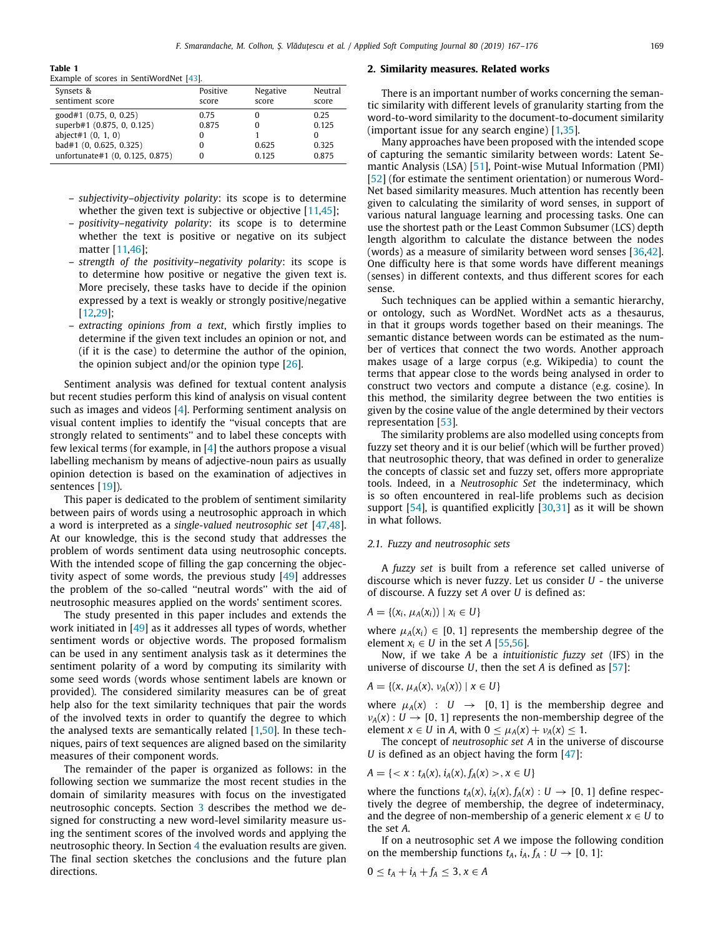#### **Table 1**

<span id="page-2-0"></span>Example of scores in SentiWordNet [[43\]](#page-8-15).

| Synsets &                       | Positive | Negative | Neutral |
|---------------------------------|----------|----------|---------|
| sentiment score                 | score    | score    | score   |
| good#1 (0.75, 0, 0.25)          | 0.75     |          | 0.25    |
| superb#1 (0.875, 0, 0.125)      | 0.875    |          | 0.125   |
| abject#1 $(0, 1, 0)$            |          |          |         |
| bad#1 (0, 0.625, 0.325)         | 0        | 0.625    | 0.325   |
| unfortunate#1 (0, 0.125, 0.875) |          | 0.125    | 0.875   |
|                                 |          |          |         |

- *subjectivity–objectivity polarity*: its scope is to determine whether the given text is subjective or objective [[11](#page-7-10)[,45\]](#page-8-17);
- *positivity–negativity polarity*: its scope is to determine whether the text is positive or negative on its subject matter [[11](#page-7-10)[,46\]](#page-8-18);
- *strength of the positivity–negativity polarity*: its scope is to determine how positive or negative the given text is. More precisely, these tasks have to decide if the opinion expressed by a text is weakly or strongly positive/negative [[12](#page-7-21)[,29](#page-8-4)];
- *extracting opinions from a text*, which firstly implies to determine if the given text includes an opinion or not, and (if it is the case) to determine the author of the opinion, the opinion subject and/or the opinion type [[26](#page-8-1)].

Sentiment analysis was defined for textual content analysis but recent studies perform this kind of analysis on visual content such as images and videos [[4\]](#page-7-3). Performing sentiment analysis on visual content implies to identify the ''visual concepts that are strongly related to sentiments'' and to label these concepts with few lexical terms (for example, in  $[4]$  $[4]$  the authors propose a visual labelling mechanism by means of adjective-noun pairs as usually opinion detection is based on the examination of adjectives in sentences [[19](#page-7-16)]).

This paper is dedicated to the problem of sentiment similarity between pairs of words using a neutrosophic approach in which a word is interpreted as a *single-valued neutrosophic set* [\[47](#page-8-19)[,48\]](#page-8-20). At our knowledge, this is the second study that addresses the problem of words sentiment data using neutrosophic concepts. With the intended scope of filling the gap concerning the objectivity aspect of some words, the previous study [[49\]](#page-8-21) addresses the problem of the so-called ''neutral words'' with the aid of neutrosophic measures applied on the words' sentiment scores.

The study presented in this paper includes and extends the work initiated in [\[49\]](#page-8-21) as it addresses all types of words, whether sentiment words or objective words. The proposed formalism can be used in any sentiment analysis task as it determines the sentiment polarity of a word by computing its similarity with some seed words (words whose sentiment labels are known or provided). The considered similarity measures can be of great help also for the text similarity techniques that pair the words of the involved texts in order to quantify the degree to which the analysed texts are semantically related [\[1](#page-7-0)[,50\]](#page-8-22). In these techniques, pairs of text sequences are aligned based on the similarity measures of their component words.

The remainder of the paper is organized as follows: in the following section we summarize the most recent studies in the domain of similarity measures with focus on the investigated neutrosophic concepts. Section [3](#page-4-0) describes the method we designed for constructing a new word-level similarity measure using the sentiment scores of the involved words and applying the neutrosophic theory. In Section [4](#page-5-0) the evaluation results are given. The final section sketches the conclusions and the future plan directions.

#### **2. Similarity measures. Related works**

There is an important number of works concerning the semantic similarity with different levels of granularity starting from the word-to-word similarity to the document-to-document similarity (important issue for any search engine) [\[1](#page-7-0)[,35\]](#page-8-7).

Many approaches have been proposed with the intended scope of capturing the semantic similarity between words: Latent Semantic Analysis (LSA) [\[51\]](#page-8-23), Point-wise Mutual Information (PMI) [\[52](#page-8-24)] (for estimate the sentiment orientation) or numerous Word-Net based similarity measures. Much attention has recently been given to calculating the similarity of word senses, in support of various natural language learning and processing tasks. One can use the shortest path or the Least Common Subsumer (LCS) depth length algorithm to calculate the distance between the nodes (words) as a measure of similarity between word senses [\[36](#page-8-8)[,42\]](#page-8-14). One difficulty here is that some words have different meanings (senses) in different contexts, and thus different scores for each sense.

Such techniques can be applied within a semantic hierarchy, or ontology, such as WordNet. WordNet acts as a thesaurus, in that it groups words together based on their meanings. The semantic distance between words can be estimated as the number of vertices that connect the two words. Another approach makes usage of a large corpus (e.g. Wikipedia) to count the terms that appear close to the words being analysed in order to construct two vectors and compute a distance (e.g. cosine). In this method, the similarity degree between the two entities is given by the cosine value of the angle determined by their vectors representation [[53](#page-8-25)].

The similarity problems are also modelled using concepts from fuzzy set theory and it is our belief (which will be further proved) that neutrosophic theory, that was defined in order to generalize the concepts of classic set and fuzzy set, offers more appropriate tools. Indeed, in a *Neutrosophic Set* the indeterminacy, which is so often encountered in real-life problems such as decision support [[54](#page-8-26)], is quantified explicitly [\[30,](#page-8-27)[31](#page-8-28)] as it will be shown in what follows.

### *2.1. Fuzzy and neutrosophic sets*

A *fuzzy set* is built from a reference set called universe of discourse which is never fuzzy. Let us consider *U* - the universe of discourse. A fuzzy set *A* over *U* is defined as:

$$
A = \{(x_i, \mu_A(x_i)) \mid x_i \in U\}
$$

where  $\mu_A(x_i) \in [0, 1]$  represents the membership degree of the element  $x_i \in U$  in the set *A* [\[55](#page-8-29),[56\]](#page-8-30).

Now, if we take *A* be a *intuitionistic fuzzy set* (IFS) in the universe of discourse *U*, then the set *A* is defined as [[57\]](#page-8-31):

$$
A = \{(x, \mu_A(x), \nu_A(x)) \mid x \in U\}
$$

where  $\mu_A(x)$  :  $U \rightarrow [0, 1]$  is the membership degree and  $\nu_A(x): U \to [0, 1]$  represents the non-membership degree of the element  $x \in U$  in A, with  $0 \leq \mu_A(x) + \nu_A(x) \leq 1$ .

The concept of *neutrosophic set A* in the universe of discourse *U* is defined as an object having the form [\[47](#page-8-19)]:

$$
A = \{ < x : t_A(x), i_A(x), f_A(x) > , x \in U \}
$$

where the functions  $t_A(x)$ ,  $i_A(x)$ ,  $f_A(x)$  :  $U \rightarrow [0, 1]$  define respectively the degree of membership, the degree of indeterminacy, and the degree of non-membership of a generic element  $x \in U$  to the set *A*.

If on a neutrosophic set *A* we impose the following condition on the membership functions  $t_A$ ,  $i_A$ ,  $f_A$  :  $U \rightarrow [0, 1]$ :

$$
0\leq t_A+i_A+f_A\leq 3, x\in A
$$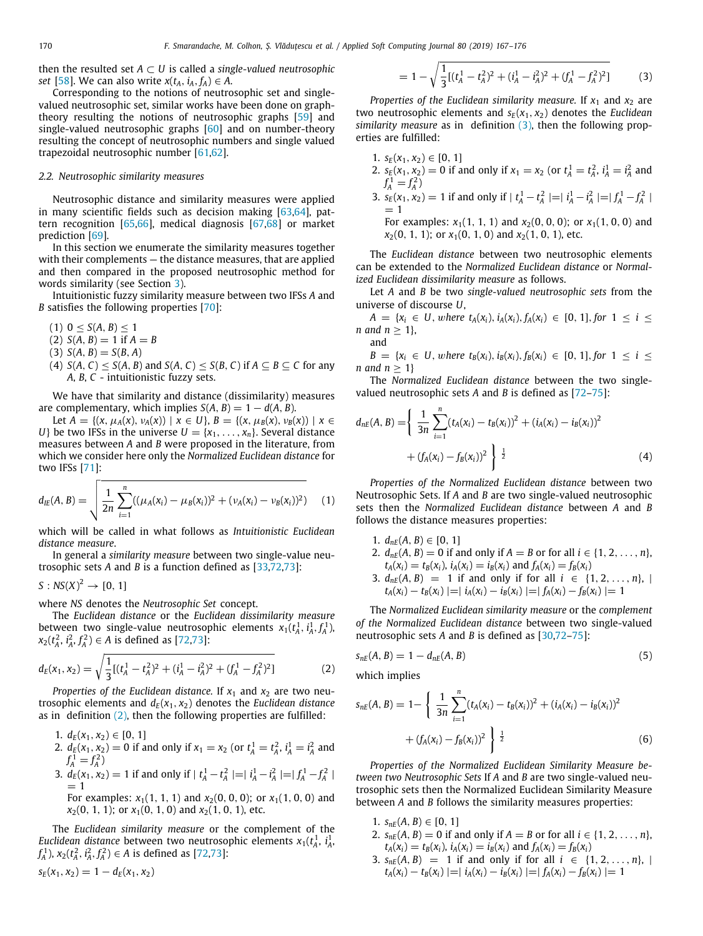then the resulted set  $A \subset U$  is called a *single-valued neutrosophic set* [\[58](#page-8-32)]. We can also write  $x(t_A, i_A, f_A) \in A$ .

Corresponding to the notions of neutrosophic set and singlevalued neutrosophic set, similar works have been done on graphtheory resulting the notions of neutrosophic graphs [\[59\]](#page-8-33) and single-valued neutrosophic graphs [[60\]](#page-8-34) and on number-theory resulting the concept of neutrosophic numbers and single valued trapezoidal neutrosophic number [[61](#page-8-35)[,62\]](#page-8-36).

#### *2.2. Neutrosophic similarity measures*

Neutrosophic distance and similarity measures were applied in many scientific fields such as decision making [[63,](#page-8-37)[64](#page-8-38)], pattern recognition [[65](#page-8-39)[,66](#page-8-40)], medical diagnosis [\[67](#page-8-41)[,68\]](#page-8-42) or market prediction [[69](#page-8-43)].

In this section we enumerate the similarity measures together with their complements — the distance measures, that are applied and then compared in the proposed neutrosophic method for words similarity (see Section [3\)](#page-4-0).

Intuitionistic fuzzy similarity measure between two IFSs *A* and *B* satisfies the following properties [[70\]](#page-8-44):

- $(1)$  0 < *S* $(A, B)$  < 1
- $(2) S(A, B) = 1$  if  $A = B$
- $S(A, B) = S(B, A)$
- (4)  $S(A, C) \leq S(A, B)$  and  $S(A, C) \leq S(B, C)$  if  $A \subseteq B \subseteq C$  for any *A*, *B*, *C* - intuitionistic fuzzy sets.

We have that similarity and distance (dissimilarity) measures are complementary, which implies  $S(A, B) = 1 - d(A, B)$ .

Let  $A = \{(x, \mu_A(x), \nu_A(x)) \mid x \in U\}, B = \{(x, \mu_B(x), \nu_B(x)) \mid x \in$ *U*} be two IFSs in the universe  $U = \{x_1, \ldots, x_n\}$ . Several distance measures between *A* and *B* were proposed in the literature, from which we consider here only the *Normalized Euclidean distance* for two IFSs [[71\]](#page-8-45):

$$
d_{IE}(A, B) = \sqrt{\frac{1}{2n} \sum_{i=1}^{n} ((\mu_A(x_i) - \mu_B(x_i))^2 + (\nu_A(x_i) - \nu_B(x_i))^2)}
$$
(1)

which will be called in what follows as *Intuitionistic Euclidean distance measure*.

In general a *similarity measure* between two single-value neutrosophic sets *A* and *B* is a function defined as [[33](#page-8-5)[,72,](#page-9-0)[73](#page-9-1)]:

 $S: NS(X)^2 \to [0, 1]$ 

where *NS* denotes the *Neutrosophic Set* concept.

The *Euclidean distance* or the *Euclidean dissimilarity measure* between two single-value neutrosophic elements  $x_1(t_A^1, i_A^1, f_A^1)$ ,  $x_2(t_A^2, t_A^2, f_A^2) \in A$  is defined as [\[72,](#page-9-0)[73](#page-9-1)]:

$$
d_E(x_1, x_2) = \sqrt{\frac{1}{3}[(t_A^1 - t_A^2)^2 + (i_A^1 - i_A^2)^2 + (f_A^1 - f_A^2)^2]}
$$
(2)

*Properties of the Euclidean distance.* If  $x_1$  and  $x_2$  are two neutrosophic elements and  $d_E(x_1, x_2)$  denotes the *Euclidean distance* as in definition  $(2)$  $(2)$  $(2)$ , then the following properties are fulfilled:

- 1.  $d_E(x_1, x_2) \in [0, 1]$
- 2.  $d_E(x_1, x_2) = 0$  if and only if  $x_1 = x_2$  (or  $t_A^1 = t_A^2$ ,  $i_A^1 = i_A^2$  and  $f_A^1 = f_A^2$
- 3.  $d_E(x_1, x_2) = 1$  if and only if  $|t_A^1 t_A^2| = |t_A^1 t_A^2| = |f_A^1 f_A^2|$  $=$  1
	- For examples:  $x_1(1, 1, 1)$  and  $x_2(0, 0, 0)$ ; or  $x_1(1, 0, 0)$  and  $x_2(0, 1, 1)$ ; or  $x_1(0, 1, 0)$  and  $x_2(1, 0, 1)$ , etc.

The *Euclidean similarity measure* or the complement of the *Euclidean distance* between two neutrosophic elements  $x_1(t_A^1, i_A^1)$  $f_A^1$ ),  $x_2(t_A^2, i_A^2, f_A^2) \in A$  is defined as [[72,](#page-9-0)[73](#page-9-1)]:

$$
s_E(x_1, x_2) = 1 - d_E(x_1, x_2)
$$

<span id="page-3-1"></span>
$$
= 1 - \sqrt{\frac{1}{3}[(t_A^1 - t_A^2)^2 + (i_A^1 - i_A^2)^2 + (f_A^1 - f_A^2)^2]} \tag{3}
$$

*Properties of the Euclidean similarity measure.* If  $x_1$  and  $x_2$  are two neutrosophic elements and  $s_E(x_1, x_2)$  denotes the *Euclidean similarity measure* as in definition ([3](#page-3-1)), then the following properties are fulfilled:

- 1.  $s_E(x_1, x_2) \in [0, 1]$
- 2.  $s_E(x_1, x_2) = 0$  if and only if  $x_1 = x_2$  (or  $t_A^1 = t_A^2$ ,  $i_A^1 = i_A^2$  and  $f_A^1 = f_A^2$
- 3.  $s_E(x_1, x_2) = 1$  if and only if  $|t_A^1 t_A^2| = |t_A^1 t_A^2| = |f_A^1 f_A^2|$  $= 1$

For examples:  $x_1(1, 1, 1)$  and  $x_2(0, 0, 0)$ ; or  $x_1(1, 0, 0)$  and  $x_2(0, 1, 1)$ ; or  $x_1(0, 1, 0)$  and  $x_2(1, 0, 1)$ , etc.

The *Euclidean distance* between two neutrosophic elements can be extended to the *Normalized Euclidean distance* or *Normalized Euclidean dissimilarity measure* as follows.

Let *A* and *B* be two *single-valued neutrosophic sets* from the universe of discourse *U*,

*A* = { $x_i$  ∈ *U*, *where*  $t_A(x_i)$ ,  $i_A(x_i)$ ,  $f_A(x_i)$  ∈ [0, 1], *for* 1 ≤ *i* ≤ *n* and  $n \geq 1$ ,

$$
B = \{x_i \in U, \text{ where } t_B(x_i), i_B(x_i), f_B(x_i) \in [0, 1], \text{ for } 1 \leq i \leq n \text{ and } n \geq 1\}
$$

The *Normalized Euclidean distance* between the two singlevalued neutrosophic sets *A* and *B* is defined as [\[72](#page-9-0)–[75](#page-9-2)]:

$$
d_{nE}(A, B) = \left\{ \frac{1}{3n} \sum_{i=1}^{n} (t_A(x_i) - t_B(x_i))^2 + (i_A(x_i) - i_B(x_i))^2 + (f_A(x_i) - f_B(x_i))^2 \right\}^{\frac{1}{2}}
$$
(4)

*Properties of the Normalized Euclidean distance* between two Neutrosophic Sets. If *A* and *B* are two single-valued neutrosophic sets then the *Normalized Euclidean distance* between *A* and *B* follows the distance measures properties:

1.  $d_{nE}(A, B) \in [0, 1]$ 

and

- 2.  $d_{nE}(A, B) = 0$  if and only if  $A = B$  or for all  $i \in \{1, 2, ..., n\}$ ,  $t_A(x_i) = t_B(x_i)$ ,  $i_A(x_i) = i_B(x_i)$  and  $f_A(x_i) = f_B(x_i)$
- 3.  $d_{nE}(A, B) = 1$  if and only if for all  $i \in \{1, 2, ..., n\}$ , |  $t_A(x_i) - t_B(x_i) = |i_A(x_i) - i_B(x_i)| = |f_A(x_i) - f_B(x_i)| = 1$

The *Normalized Euclidean similarity measure* or the *complement of the Normalized Euclidean distance* between two single-valued neutrosophic sets *A* and *B* is defined as [\[30,](#page-8-27)[72](#page-9-0)[–75\]](#page-9-2):

$$
s_{nE}(A, B) = 1 - d_{nE}(A, B) \tag{5}
$$

<span id="page-3-0"></span>which implies

$$
s_{nE}(A, B) = 1 - \left\{ \frac{1}{3n} \sum_{i=1}^{n} (t_A(x_i) - t_B(x_i))^2 + (i_A(x_i) - i_B(x_i))^2 + (f_A(x_i) - f_B(x_i))^2 \right\}^{\frac{1}{2}}
$$
(6)

*Properties of the Normalized Euclidean Similarity Measure between two Neutrosophic Sets* If *A* and *B* are two single-valued neutrosophic sets then the Normalized Euclidean Similarity Measure between *A* and *B* follows the similarity measures properties:

- 1.  $s_{nE}(A, B) \in [0, 1]$
- 2.  $s_{nE}(A, B) = 0$  if and only if  $A = B$  or for all  $i \in \{1, 2, ..., n\}$ ,  $t_A(x_i) = t_B(x_i)$ ,  $i_A(x_i) = i_B(x_i)$  and  $f_A(x_i) = f_B(x_i)$
- 3.  $s_{nE}(A, B) = 1$  if and only if for all  $i \in \{1, 2, ..., n\}$ , |  $t_A(x_i) - t_B(x_i) = i_A(x_i) - i_B(x_i) = f_A(x_i) - f_B(x_i) = 1$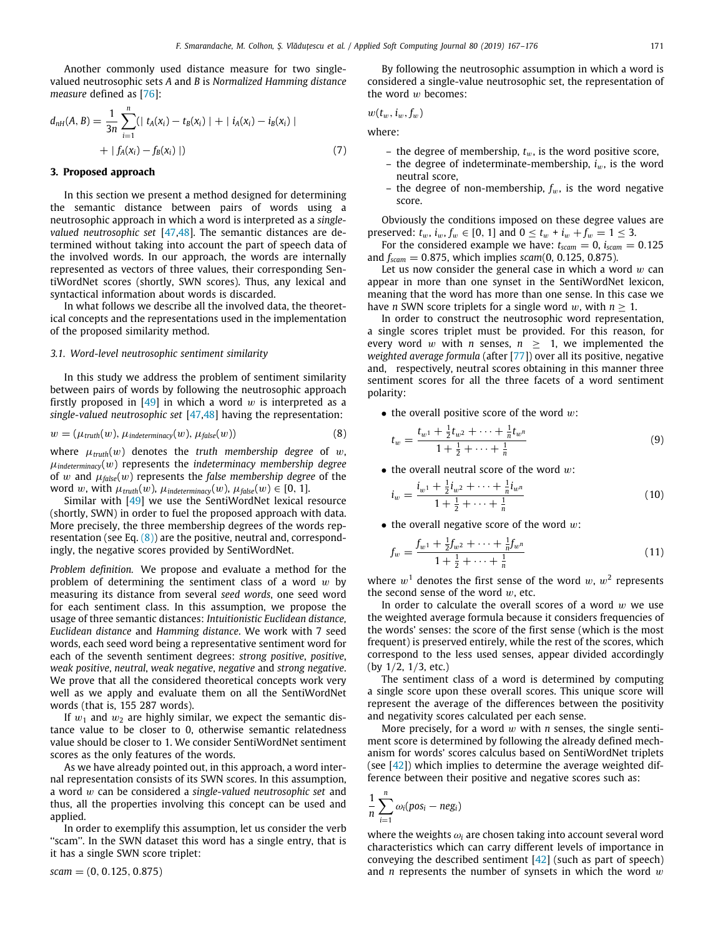Another commonly used distance measure for two singlevalued neutrosophic sets *A* and *B* is *Normalized Hamming distance measure* defined as [[76](#page-9-3)]:

$$
d_{nH}(A, B) = \frac{1}{3n} \sum_{i=1}^{n} (| t_A(x_i) - t_B(x_i) | + | i_A(x_i) - i_B(x_i) | + | f_A(x_i) - f_B(x_i) |)
$$
\n
$$
(7)
$$

## **3. Proposed approach**

<span id="page-4-0"></span>In this section we present a method designed for determining the semantic distance between pairs of words using a neutrosophic approach in which a word is interpreted as a *singlevalued neutrosophic set* [[47](#page-8-19)[,48\]](#page-8-20). The semantic distances are determined without taking into account the part of speech data of the involved words. In our approach, the words are internally represented as vectors of three values, their corresponding SentiWordNet scores (shortly, SWN scores). Thus, any lexical and syntactical information about words is discarded.

In what follows we describe all the involved data, the theoretical concepts and the representations used in the implementation of the proposed similarity method.

#### *3.1. Word-level neutrosophic sentiment similarity*

In this study we address the problem of sentiment similarity between pairs of words by following the neutrosophic approach firstly proposed in [\[49](#page-8-21)] in which a word w is interpreted as a *single-valued neutrosophic set* [[47,](#page-8-19)[48](#page-8-20)] having the representation:

$$
w = (\mu_{truth}(w), \mu_{indeterminacy}(w), \mu_{false}(w))
$$
\n(8)

where  $\mu_{truth}(w)$  denotes the *truth membership degree* of w,  $\mu$ <sub>indeterminacy</sub>(w) represents the *indeterminacy membership degree* of w and  $\mu_{\text{false}}(w)$  represents the *false membership degree* of the word w, with  $\mu_{truth}(w)$ ,  $\mu_{indeterminacy}(w)$ ,  $\mu_{false}(w) \in [0, 1]$ .

Similar with [[49](#page-8-21)] we use the SentiWordNet lexical resource (shortly, SWN) in order to fuel the proposed approach with data. More precisely, the three membership degrees of the words representation (see Eq.  $(8)$  $(8)$  $(8)$ ) are the positive, neutral and, correspondingly, the negative scores provided by SentiWordNet.

*Problem definition.* We propose and evaluate a method for the problem of determining the sentiment class of a word  $w$  by measuring its distance from several *seed words*, one seed word for each sentiment class. In this assumption, we propose the usage of three semantic distances: *Intuitionistic Euclidean distance, Euclidean distance* and *Hamming distance*. We work with 7 seed words, each seed word being a representative sentiment word for each of the seventh sentiment degrees: *strong positive*, *positive*, *weak positive*, *neutral*, *weak negative*, *negative* and *strong negative*. We prove that all the considered theoretical concepts work very well as we apply and evaluate them on all the SentiWordNet words (that is, 155 287 words).

If  $w_1$  and  $w_2$  are highly similar, we expect the semantic distance value to be closer to 0, otherwise semantic relatedness value should be closer to 1. We consider SentiWordNet sentiment scores as the only features of the words.

As we have already pointed out, in this approach, a word internal representation consists of its SWN scores. In this assumption, a word w can be considered a *single-valued neutrosophic set* and thus, all the properties involving this concept can be used and applied.

In order to exemplify this assumption, let us consider the verb ''scam''. In the SWN dataset this word has a single entry, that is it has a single SWN score triplet:

$$
scam = (0, 0.125, 0.875)
$$

By following the neutrosophic assumption in which a word is considered a single-value neutrosophic set, the representation of the word  $w$  becomes:

$$
w(t_w,i_w,f_w)\,
$$

where:

- the degree of membership,  $t_w$ , is the word positive score,
- the degree of indeterminate-membership,  $i_w$ , is the word neutral score,
- the degree of non-membership,  $f_w$ , is the word negative score.

Obviously the conditions imposed on these degree values are preserved:  $t_w$ ,  $i_w$ ,  $f_w \in [0, 1]$  and  $0 \le t_w + i_w + f_w = 1 \le 3$ .

For the considered example we have:  $t_{\text{scam}} = 0$ ,  $i_{\text{scam}} = 0.125$ and *fscam* = 0.875, which implies *scam*(0, 0.125, 0.875).

Let us now consider the general case in which a word  $w$  can appear in more than one synset in the SentiWordNet lexicon, meaning that the word has more than one sense. In this case we have *n* SWN score triplets for a single word *w*, with  $n \geq 1$ .

In order to construct the neutrosophic word representation, a single scores triplet must be provided. For this reason, for every word  $w$  with  $n$  senses,  $n \geq 1$ , we implemented the *weighted average formula* (after [\[77](#page-9-4)]) over all its positive, negative and, respectively, neutral scores obtaining in this manner three sentiment scores for all the three facets of a word sentiment polarity:

<span id="page-4-1"></span> $\bullet$  the overall positive score of the word  $w$ :

$$
t_w = \frac{t_{w1} + \frac{1}{2}t_{w2} + \dots + \frac{1}{n}t_{wn}}{1 + \frac{1}{2} + \dots + \frac{1}{n}}
$$
(9)

 $\bullet$  the overall neutral score of the word  $w$ :

$$
i_w = \frac{i_{w^1} + \frac{1}{2}i_{w^2} + \dots + \frac{1}{n}i_{w^n}}{1 + \frac{1}{2} + \dots + \frac{1}{n}}
$$
(10)

 $\bullet$  the overall negative score of the word  $w$ :

$$
f_w = \frac{f_{w1} + \frac{1}{2}f_{w2} + \dots + \frac{1}{n}f_{wn}}{1 + \frac{1}{2} + \dots + \frac{1}{n}}
$$
(11)

where  $w<sup>1</sup>$  denotes the first sense of the word  $w, w<sup>2</sup>$  represents the second sense of the word  $w$ , etc.

In order to calculate the overall scores of a word  $w$  we use the weighted average formula because it considers frequencies of the words' senses: the score of the first sense (which is the most frequent) is preserved entirely, while the rest of the scores, which correspond to the less used senses, appear divided accordingly (by 1/2, 1/3, etc.)

The sentiment class of a word is determined by computing a single score upon these overall scores. This unique score will represent the average of the differences between the positivity and negativity scores calculated per each sense.

More precisely, for a word w with *n* senses, the single sentiment score is determined by following the already defined mechanism for words' scores calculus based on SentiWordNet triplets (see  $[42]$  $[42]$  $[42]$ ) which implies to determine the average weighted difference between their positive and negative scores such as:

$$
\frac{1}{n}\sum_{i=1}^n \omega_i (pos_i - neg_i)
$$

where the weights  $\omega_i$  are chosen taking into account several word characteristics which can carry different levels of importance in conveying the described sentiment  $[42]$  $[42]$  $[42]$  (such as part of speech) and *n* represents the number of synsets in which the word w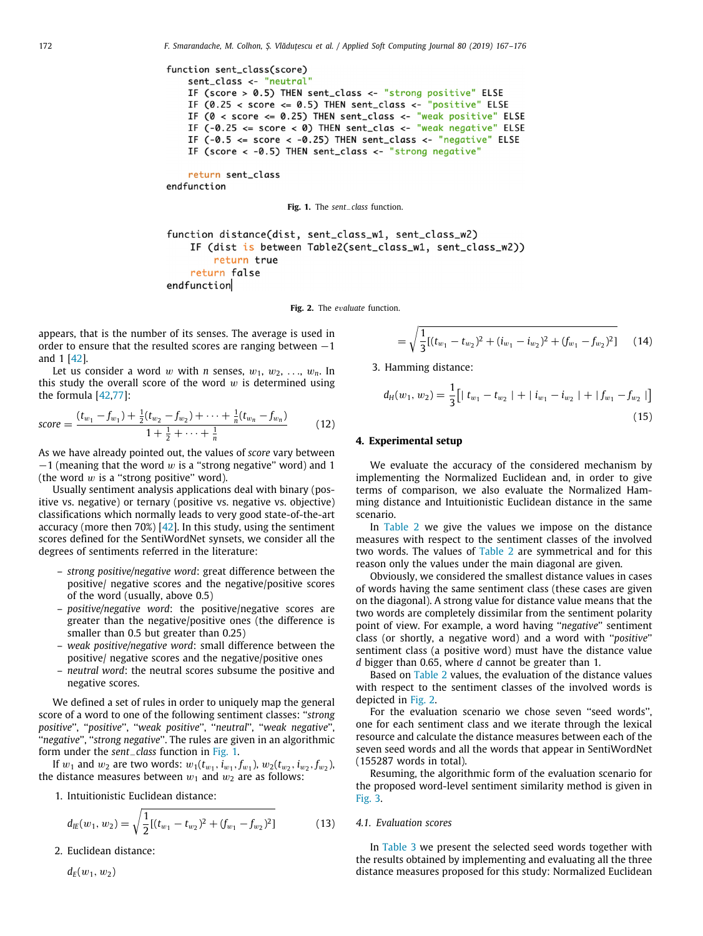```
function sent class(score)
    sent_class <- "neutral"
    IF (score > 0.5) THEN sent_class <- "strong positive" ELSE
    IF (0.25 < score <= 0.5) THEN sent_class <- "positive" ELSE
    IF (0 < score <= 0.25) THEN sent_class <- "weak positive" ELSE
    IF (-0.25 \leq score \leq 0) THEN sent_clas <- "weak negative" ELSE
    IF (-0.5 \leq score \leq -0.25) THEN sent_class \leq "negative" ELSE
    IF (score < -0.5) THEN sent_class <- "strong negative"
```

```
return sent_class
endfunction
```
**Fig. 1.** The *sent*−*class* function.

```
function distance(dist, sent_class_w1, sent_class_w2)
    IF (dist is between Table2(sent_class_w1, sent_class_w2))
        return true
    return false
endfunction
```
**Fig. 2.** The *e*v*aluate* function.

<span id="page-5-2"></span>appears, that is the number of its senses. The average is used in order to ensure that the resulted scores are ranging between  $-1$ and 1 [\[42\]](#page-8-14).

Let us consider a word w with *n* senses,  $w_1, w_2, \ldots, w_n$ . In this study the overall score of the word  $w$  is determined using the formula [\[42,](#page-8-14)[77](#page-9-4)]:

$$
score = \frac{(t_{w_1} - f_{w_1}) + \frac{1}{2}(t_{w_2} - f_{w_2}) + \dots + \frac{1}{n}(t_{w_n} - f_{w_n})}{1 + \frac{1}{2} + \dots + \frac{1}{n}}
$$
(12)

As we have already pointed out, the values of *score* vary between  $-1$  (meaning that the word w is a "strong negative" word) and 1 (the word  $w$  is a "strong positive" word).

Usually sentiment analysis applications deal with binary (positive vs. negative) or ternary (positive vs. negative vs. objective) classifications which normally leads to very good state-of-the-art accuracy (more then 70%) [\[42](#page-8-14)]. In this study, using the sentiment scores defined for the SentiWordNet synsets, we consider all the degrees of sentiments referred in the literature:

- *strong positive/negative word*: great difference between the positive/ negative scores and the negative/positive scores of the word (usually, above 0.5)
- *positive/negative word*: the positive/negative scores are greater than the negative/positive ones (the difference is smaller than 0.5 but greater than 0.25)
- *weak positive/negative word*: small difference between the positive/ negative scores and the negative/positive ones
- *neutral word*: the neutral scores subsume the positive and negative scores.

We defined a set of rules in order to uniquely map the general score of a word to one of the following sentiment classes: ''*strong positive*'', ''*positive*'', ''*weak positive*'', ''*neutral*'', ''*weak negative*'', ''*negative*'', ''*strong negative*''. The rules are given in an algorithmic form under the *sent*−*class* function in [Fig.](#page-5-1) [1](#page-5-1).

If  $w_1$  and  $w_2$  are two words:  $w_1(t_{w_1}, i_{w_1}, f_{w_1})$ ,  $w_2(t_{w_2}, i_{w_2}, f_{w_2})$ , the distance measures between  $w_1$  and  $w_2$  are as follows:

1. Intuitionistic Euclidean distance:

$$
d_{IE}(w_1, w_2) = \sqrt{\frac{1}{2}[(t_{w_1} - t_{w_2})^2 + (f_{w_1} - f_{w_2})^2]}
$$
(13)

2. Euclidean distance:

 $d_F(w_1, w_2)$ 

$$
= \sqrt{\frac{1}{3}[(t_{w_1} - t_{w_2})^2 + (i_{w_1} - i_{w_2})^2 + (f_{w_1} - f_{w_2})^2]} \qquad (14)
$$

3. Hamming distance:

$$
d_H(w_1, w_2) = \frac{1}{3} \Big[ |t_{w_1} - t_{w_2}| + |t_{w_1} - t_{w_2}| + |f_{w_1} - f_{w_2}| \Big]
$$
\n(15)

### **4. Experimental setup**

<span id="page-5-0"></span>We evaluate the accuracy of the considered mechanism by implementing the Normalized Euclidean and, in order to give terms of comparison, we also evaluate the Normalized Hamming distance and Intuitionistic Euclidean distance in the same scenario.

In [Table](#page-6-0) [2](#page-6-0) we give the values we impose on the distance measures with respect to the sentiment classes of the involved two words. The values of [Table](#page-6-0) [2](#page-6-0) are symmetrical and for this reason only the values under the main diagonal are given.

Obviously, we considered the smallest distance values in cases of words having the same sentiment class (these cases are given on the diagonal). A strong value for distance value means that the two words are completely dissimilar from the sentiment polarity point of view. For example, a word having ''*negative*'' sentiment class (or shortly, a negative word) and a word with ''*positive*'' sentiment class (a positive word) must have the distance value *d* bigger than 0.65, where *d* cannot be greater than 1.

Based on [Table](#page-6-0) [2](#page-6-0) values, the evaluation of the distance values with respect to the sentiment classes of the involved words is depicted in [Fig.](#page-5-2) [2.](#page-5-2)

For the evaluation scenario we chose seven ''seed words'', one for each sentiment class and we iterate through the lexical resource and calculate the distance measures between each of the seven seed words and all the words that appear in SentiWordNet (155287 words in total).

Resuming, the algorithmic form of the evaluation scenario for the proposed word-level sentiment similarity method is given in [Fig.](#page-6-1) [3](#page-6-1).

#### *4.1. Evaluation scores*

In [Table](#page-6-2) [3](#page-6-2) we present the selected seed words together with the results obtained by implementing and evaluating all the three distance measures proposed for this study: Normalized Euclidean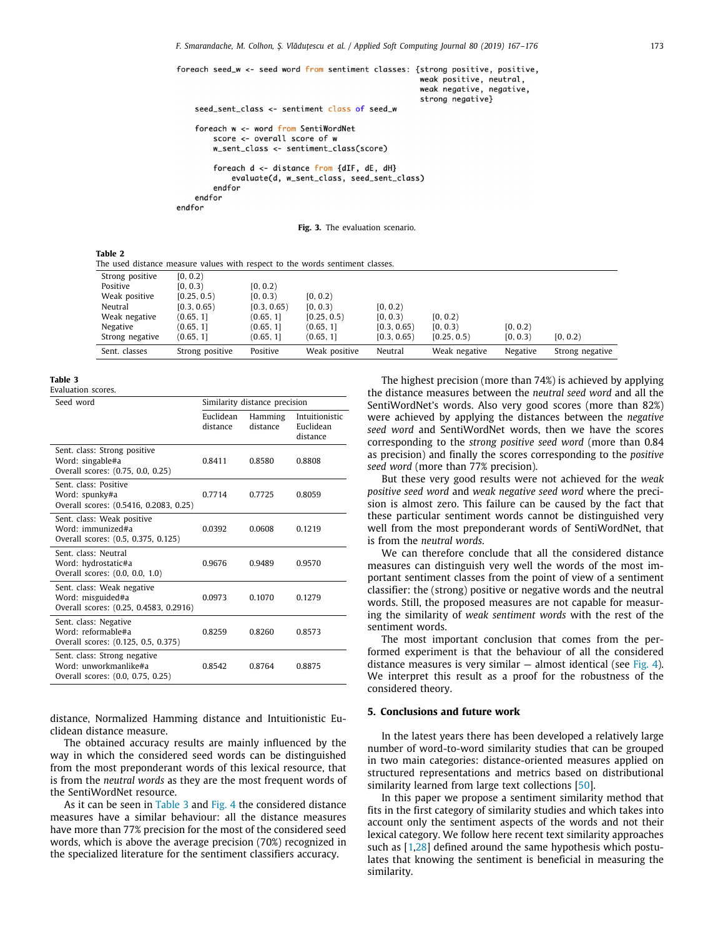foreach seed\_w <- seed word from sentiment classes: {strong positive, positive, weak positive, neutral, weak negative, negative, strong negative}

#### seed\_sent\_class <- sentiment class of seed\_w

```
foreach w <- word from SentiWordNet
   score \leq overall score of w
   w_sent_class <- sentiment_class(score)
    foreach d <- distance from {dIF, dE, dH}
        evaluate(d, w_sent_class, seed_sent_class)
    endfor
endfor
```
endfor

**Fig. 3.** The evaluation scenario.

#### <span id="page-6-1"></span><span id="page-6-0"></span>**Table 2**

| The used distance measure values with respect to the words sentiment classes. |                 |             |               |             |               |          |                 |  |
|-------------------------------------------------------------------------------|-----------------|-------------|---------------|-------------|---------------|----------|-----------------|--|
| Strong positive                                                               | [0, 0.2)        |             |               |             |               |          |                 |  |
| Positive                                                                      | [0, 0.3)        | [0, 0.2)    |               |             |               |          |                 |  |
| Weak positive                                                                 | [0.25, 0.5)     | [0, 0.3]    | [0, 0.2)      |             |               |          |                 |  |
| Neutral                                                                       | [0.3, 0.65]     | [0.3, 0.65] | [0, 0.3]      | [0, 0.2)    |               |          |                 |  |
| Weak negative                                                                 | (0.65, 1]       | (0.65, 1]   | [0.25, 0.5]   | [0, 0.3]    | [0, 0.2)      |          |                 |  |
| Negative                                                                      | (0.65, 1]       | (0.65, 1]   | (0.65, 1]     | [0.3, 0.65] | [0, 0.3)      | [0, 0.2) |                 |  |
| Strong negative                                                               | (0.65, 1]       | (0.65, 1]   | (0.65, 1]     | [0.3, 0.65] | [0.25, 0.5]   | [0, 0.3] | [0, 0.2)        |  |
| Sent. classes                                                                 | Strong positive | Positive    | Weak positive | Neutral     | Weak negative | Negative | Strong negative |  |

#### **Table 3**

<span id="page-6-2"></span>Evaluation scores.

| Seed word                                                                                  | Similarity distance precision |                     |                                         |  |  |
|--------------------------------------------------------------------------------------------|-------------------------------|---------------------|-----------------------------------------|--|--|
|                                                                                            | Euclidean<br>distance         | Hamming<br>distance | Intuitionistic<br>Euclidean<br>distance |  |  |
| Sent, class: Strong positive<br>Word: singable#a<br>Overall scores: (0.75, 0.0, 0.25)      | 0.8411                        | 0.8580              | 0.8808                                  |  |  |
| Sent. class: Positive<br>Word: spunky#a<br>Overall scores: (0.5416, 0.2083, 0.25)          | 0.7714                        | 0.7725              | 0.8059                                  |  |  |
| Sent. class: Weak positive<br>Word: immunized#a<br>Overall scores: (0.5, 0.375, 0.125)     | 0.0392                        | 0.0608              | 0.1219                                  |  |  |
| Sent. class: Neutral<br>Word: hydrostatic#a<br>Overall scores: (0.0, 0.0, 1.0)             | 0.9676                        | 0.9489              | 0.9570                                  |  |  |
| Sent, class: Weak negative<br>Word: misguided#a<br>Overall scores: (0.25, 0.4583, 0.2916)  | 0.0973                        | 0.1070              | 0.1279                                  |  |  |
| Sent. class: Negative<br>Word: reformable#a<br>Overall scores: (0.125, 0.5, 0.375)         | 0.8259                        | 0.8260              | 0.8573                                  |  |  |
| Sent, class: Strong negative<br>Word: unworkmanlike#a<br>Overall scores: (0.0, 0.75, 0.25) | 0.8542                        | 0.8764              | 0.8875                                  |  |  |
|                                                                                            |                               |                     |                                         |  |  |

distance, Normalized Hamming distance and Intuitionistic Euclidean distance measure.

The obtained accuracy results are mainly influenced by the way in which the considered seed words can be distinguished from the most preponderant words of this lexical resource, that is from the *neutral words* as they are the most frequent words of the SentiWordNet resource.

As it can be seen in [Table](#page-6-2) [3](#page-6-2) and [Fig.](#page-7-22) [4](#page-7-22) the considered distance measures have a similar behaviour: all the distance measures have more than 77% precision for the most of the considered seed words, which is above the average precision (70%) recognized in the specialized literature for the sentiment classifiers accuracy.

The highest precision (more than 74%) is achieved by applying the distance measures between the *neutral seed word* and all the SentiWordNet's words. Also very good scores (more than 82%) were achieved by applying the distances between the *negative seed word* and SentiWordNet words, then we have the scores corresponding to the *strong positive seed word* (more than 0.84 as precision) and finally the scores corresponding to the *positive seed word* (more than 77% precision).

But these very good results were not achieved for the *weak positive seed word* and *weak negative seed word* where the precision is almost zero. This failure can be caused by the fact that these particular sentiment words cannot be distinguished very well from the most preponderant words of SentiWordNet, that is from the *neutral words*.

We can therefore conclude that all the considered distance measures can distinguish very well the words of the most important sentiment classes from the point of view of a sentiment classifier: the (strong) positive or negative words and the neutral words. Still, the proposed measures are not capable for measuring the similarity of *weak sentiment words* with the rest of the sentiment words.

The most important conclusion that comes from the performed experiment is that the behaviour of all the considered distance measures is very similar  $-$  almost identical (see [Fig.](#page-7-22) [4\)](#page-7-22). We interpret this result as a proof for the robustness of the considered theory.

## **5. Conclusions and future work**

In the latest years there has been developed a relatively large number of word-to-word similarity studies that can be grouped in two main categories: distance-oriented measures applied on structured representations and metrics based on distributional similarity learned from large text collections [\[50\]](#page-8-22).

In this paper we propose a sentiment similarity method that fits in the first category of similarity studies and which takes into account only the sentiment aspects of the words and not their lexical category. We follow here recent text similarity approaches such as [[1](#page-7-0)[,28\]](#page-8-3) defined around the same hypothesis which postulates that knowing the sentiment is beneficial in measuring the similarity.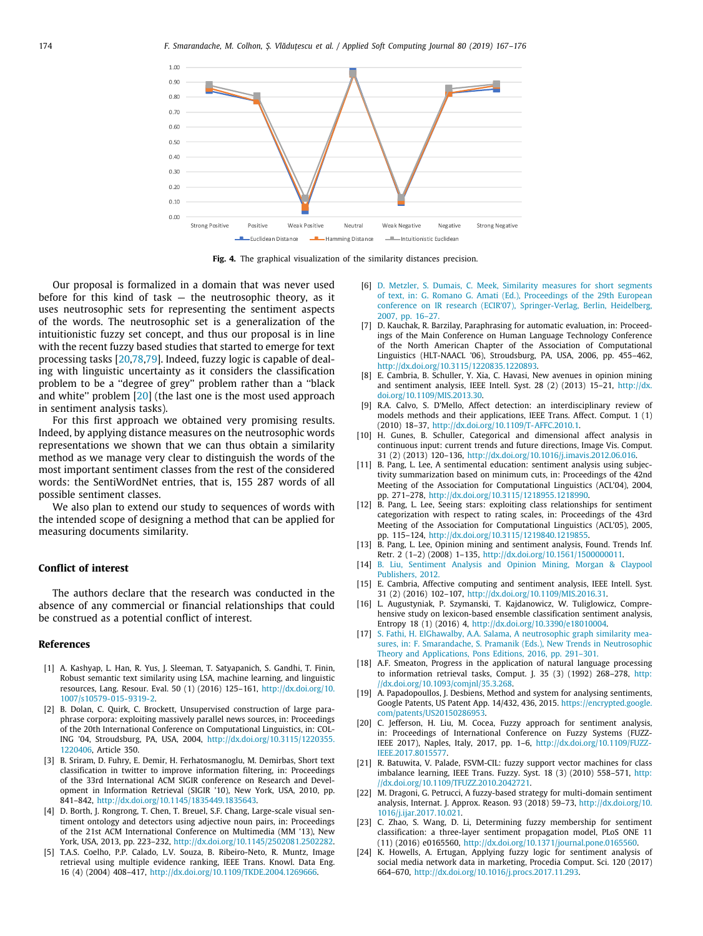

**Fig. 4.** The graphical visualization of the similarity distances precision.

<span id="page-7-22"></span>Our proposal is formalized in a domain that was never used before for this kind of task — the neutrosophic theory, as it uses neutrosophic sets for representing the sentiment aspects of the words. The neutrosophic set is a generalization of the intuitionistic fuzzy set concept, and thus our proposal is in line with the recent fuzzy based studies that started to emerge for text processing tasks [[20](#page-7-17)[,78,](#page-9-5)[79](#page-9-6)]. Indeed, fuzzy logic is capable of dealing with linguistic uncertainty as it considers the classification problem to be a ''degree of grey'' problem rather than a ''black and white'' problem [\[20\]](#page-7-17) (the last one is the most used approach in sentiment analysis tasks).

For this first approach we obtained very promising results. Indeed, by applying distance measures on the neutrosophic words representations we shown that we can thus obtain a similarity method as we manage very clear to distinguish the words of the most important sentiment classes from the rest of the considered words: the SentiWordNet entries, that is, 155 287 words of all possible sentiment classes.

We also plan to extend our study to sequences of words with the intended scope of designing a method that can be applied for measuring documents similarity.

## **Conflict of interest**

The authors declare that the research was conducted in the absence of any commercial or financial relationships that could be construed as a potential conflict of interest.

#### **References**

- <span id="page-7-0"></span>[1] A. Kashyap, L. Han, R. Yus, J. Sleeman, T. Satyapanich, S. Gandhi, T. Finin, Robust semantic text similarity using LSA, machine learning, and linguistic resources, Lang. Resour. Eval. 50 (1) (2016) 125–161, [http://dx.doi.org/10.](http://dx.doi.org/10.1007/s10579-015-9319-2) [1007/s10579-015-9319-2](http://dx.doi.org/10.1007/s10579-015-9319-2).
- <span id="page-7-1"></span>[2] B. Dolan, C. Quirk, C. Brockett, Unsupervised construction of large paraphrase corpora: exploiting massively parallel news sources, in: Proceedings of the 20th International Conference on Computational Linguistics, in: COL-ING '04, Stroudsburg, PA, USA, 2004, [http://dx.doi.org/10.3115/1220355.](http://dx.doi.org/10.3115/1220355.1220406) [1220406,](http://dx.doi.org/10.3115/1220355.1220406) Article 350.
- <span id="page-7-2"></span>[3] B. Sriram, D. Fuhry, E. Demir, H. Ferhatosmanoglu, M. Demirbas, Short text classification in twitter to improve information filtering, in: Proceedings of the 33rd International ACM SIGIR conference on Research and Development in Information Retrieval (SIGIR '10), New York, USA, 2010, pp. 841–842, <http://dx.doi.org/10.1145/1835449.1835643>.
- <span id="page-7-3"></span>[4] D. Borth, J. Rongrong, T. Chen, T. Breuel, S.F. Chang, Large-scale visual sentiment ontology and detectors using adjective noun pairs, in: Proceedings of the 21st ACM International Conference on Multimedia (MM '13), New York, USA, 2013, pp. 223–232, <http://dx.doi.org/10.1145/2502081.2502282>.
- <span id="page-7-4"></span>[5] T.A.S. Coelho, P.P. Calado, L.V. Souza, B. Ribeiro-Neto, R. Muntz, Image retrieval using multiple evidence ranking, IEEE Trans. Knowl. Data Eng. 16 (4) (2004) 408–417, [http://dx.doi.org/10.1109/TKDE.2004.1269666.](http://dx.doi.org/10.1109/TKDE.2004.1269666)
- <span id="page-7-5"></span>[6] [D. Metzler, S. Dumais, C. Meek, Similarity measures for short segments](http://refhub.elsevier.com/S1568-4946(19)30160-7/sb6) [of text, in: G. Romano G. Amati \(Ed.\), Proceedings of the 29th European](http://refhub.elsevier.com/S1568-4946(19)30160-7/sb6) [conference on IR research \(ECIR'07\), Springer-Verlag, Berlin, Heidelberg,](http://refhub.elsevier.com/S1568-4946(19)30160-7/sb6) [2007, pp. 16–27.](http://refhub.elsevier.com/S1568-4946(19)30160-7/sb6)
- <span id="page-7-6"></span>[7] D. Kauchak, R. Barzilay, Paraphrasing for automatic evaluation, in: Proceedings of the Main Conference on Human Language Technology Conference of the North American Chapter of the Association of Computational Linguistics (HLT-NAACL '06), Stroudsburg, PA, USA, 2006, pp. 455–462, [http://dx.doi.org/10.3115/1220835.1220893.](http://dx.doi.org/10.3115/1220835.1220893)
- <span id="page-7-7"></span>[8] E. Cambria, B. Schuller, Y. Xia, C. Havasi, New avenues in opinion mining and sentiment analysis, IEEE Intell. Syst. 28 (2) (2013) 15–21, [http://dx.](http://dx.doi.org/10.1109/MIS.2013.30) [doi.org/10.1109/MIS.2013.30](http://dx.doi.org/10.1109/MIS.2013.30).
- <span id="page-7-8"></span>[9] R.A. Calvo, S. D'Mello, Affect detection: an interdisciplinary review of models methods and their applications, IEEE Trans. Affect. Comput. 1 (1) (2010) 18–37, [http://dx.doi.org/10.1109/T-AFFC.2010.1.](http://dx.doi.org/10.1109/T-AFFC.2010.1)
- <span id="page-7-9"></span>[10] H. Gunes, B. Schuller, Categorical and dimensional affect analysis in continuous input: current trends and future directions, Image Vis. Comput. 31 (2) (2013) 120–136, [http://dx.doi.org/10.1016/j.imavis.2012.06.016.](http://dx.doi.org/10.1016/j.imavis.2012.06.016)
- <span id="page-7-10"></span>[11] B. Pang, L. Lee, A sentimental education: sentiment analysis using subjectivity summarization based on minimum cuts, in: Proceedings of the 42nd Meeting of the Association for Computational Linguistics (ACL'04), 2004, pp. 271–278, <http://dx.doi.org/10.3115/1218955.1218990>.
- <span id="page-7-21"></span>[12] B. Pang, L. Lee, Seeing stars: exploiting class relationships for sentiment categorization with respect to rating scales, in: Proceedings of the 43rd Meeting of the Association for Computational Linguistics (ACL'05), 2005, pp. 115–124, <http://dx.doi.org/10.3115/1219840.1219855>.
- [13] B. Pang, L. Lee, Opinion mining and sentiment analysis, Found. Trends Inf. Retr. 2 (1–2) (2008) 1–135, <http://dx.doi.org/10.1561/1500000011>.
- <span id="page-7-11"></span>[14] [B. Liu, Sentiment Analysis and Opinion Mining, Morgan & Claypool](http://refhub.elsevier.com/S1568-4946(19)30160-7/sb14) [Publishers, 2012.](http://refhub.elsevier.com/S1568-4946(19)30160-7/sb14)
- <span id="page-7-12"></span>[15] E. Cambria, Affective computing and sentiment analysis, IEEE Intell. Syst. 31 (2) (2016) 102–107, [http://dx.doi.org/10.1109/MIS.2016.31.](http://dx.doi.org/10.1109/MIS.2016.31)
- <span id="page-7-13"></span>[16] L. Augustyniak, P. Szymanski, T. Kajdanowicz, W. Tuliglowicz, Comprehensive study on lexicon-based ensemble classification sentiment analysis, Entropy 18 (1) (2016) 4, <http://dx.doi.org/10.3390/e18010004>.
- <span id="page-7-14"></span>[17] [S. Fathi, H. ElGhawalby, A.A. Salama, A neutrosophic graph similarity mea](http://refhub.elsevier.com/S1568-4946(19)30160-7/sb17)[sures, in: F. Smarandache, S. Pramanik \(Eds.\), New Trends in Neutrosophic](http://refhub.elsevier.com/S1568-4946(19)30160-7/sb17) [Theory and Applications, Pons Editions, 2016, pp. 291–301.](http://refhub.elsevier.com/S1568-4946(19)30160-7/sb17)
- <span id="page-7-15"></span>[18] A.F. Smeaton, Progress in the application of natural language processing to information retrieval tasks, Comput. J. 35 (3) (1992) 268–278, [http:](http://dx.doi.org/10.1093/comjnl/35.3.268) [//dx.doi.org/10.1093/comjnl/35.3.268.](http://dx.doi.org/10.1093/comjnl/35.3.268)
- <span id="page-7-16"></span>[19] A. Papadopoullos, J. Desbiens, Method and system for analysing sentiments, Google Patents, US Patent App. 14/432, 436, 2015. [https://encrypted.google.](https://encrypted.google.com/patents/US20150286953) [com/patents/US20150286953.](https://encrypted.google.com/patents/US20150286953)
- <span id="page-7-17"></span>[20] C. Jefferson, H. Liu, M. Cocea, Fuzzy approach for sentiment analysis, in: Proceedings of International Conference on Fuzzy Systems (FUZZ-IEEE 2017), Naples, Italy, 2017, pp. 1–6, [http://dx.doi.org/10.1109/FUZZ-](http://dx.doi.org/10.1109/FUZZ-IEEE.2017.8015577)[IEEE.2017.8015577.](http://dx.doi.org/10.1109/FUZZ-IEEE.2017.8015577)
- <span id="page-7-18"></span>[21] R. Batuwita, V. Palade, FSVM-CIL: fuzzy support vector machines for class imbalance learning, IEEE Trans. Fuzzy. Syst. 18 (3) (2010) 558–571, [http:](http://dx.doi.org/10.1109/TFUZZ.2010.2042721) [//dx.doi.org/10.1109/TFUZZ.2010.2042721](http://dx.doi.org/10.1109/TFUZZ.2010.2042721).
- [22] M. Dragoni, G. Petrucci, A fuzzy-based strategy for multi-domain sentiment analysis, Internat. J. Approx. Reason. 93 (2018) 59–73, [http://dx.doi.org/10.](http://dx.doi.org/10.1016/j.ijar.2017.10.021) [1016/j.ijar.2017.10.021.](http://dx.doi.org/10.1016/j.ijar.2017.10.021)
- <span id="page-7-19"></span>[23] C. Zhao, S. Wang, D. Li, Determining fuzzy membership for sentiment classification: a three-layer sentiment propagation model, PLoS ONE 11 (11) (2016) e0165560, [http://dx.doi.org/10.1371/journal.pone.0165560.](http://dx.doi.org/10.1371/journal.pone.0165560)
- <span id="page-7-20"></span>[24] K. Howells, A. Ertugan, Applying fuzzy logic for sentiment analysis of social media network data in marketing, Procedia Comput. Sci. 120 (2017) 664–670, <http://dx.doi.org/10.1016/j.procs.2017.11.293>.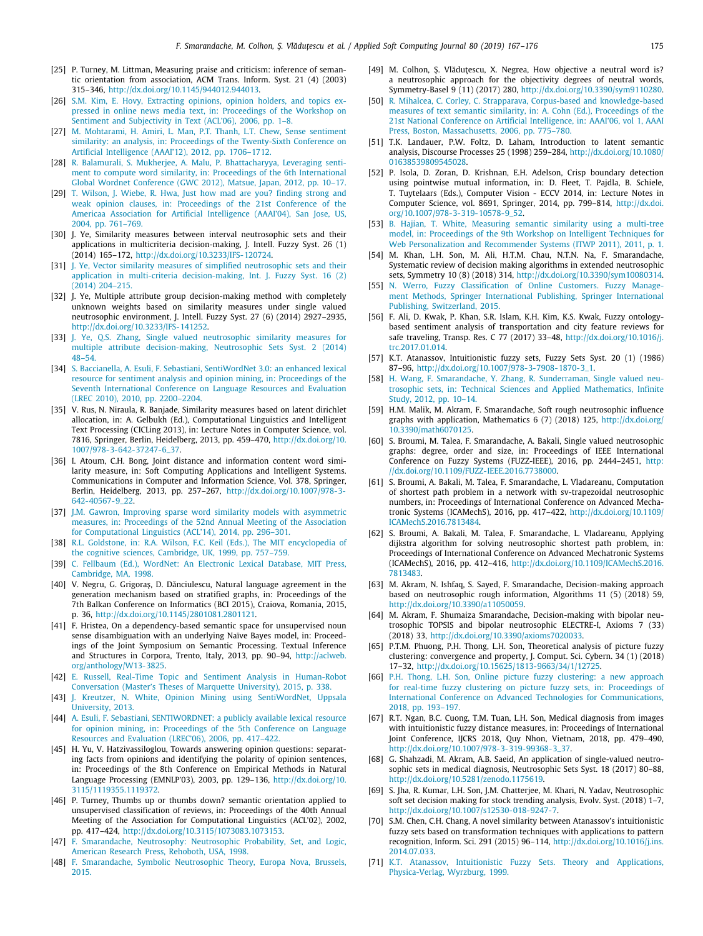- <span id="page-8-0"></span>[25] P. Turney, M. Littman, Measuring praise and criticism: inference of semantic orientation from association, ACM Trans. Inform. Syst. 21 (4) (2003) 315–346, <http://dx.doi.org/10.1145/944012.944013>.
- <span id="page-8-1"></span>[26] [S.M. Kim, E. Hovy, Extracting opinions, opinion holders, and topics ex](http://refhub.elsevier.com/S1568-4946(19)30160-7/sb26)[pressed in online news media text, in: Proceedings of the Workshop on](http://refhub.elsevier.com/S1568-4946(19)30160-7/sb26) [Sentiment and Subjectivity in Text \(ACL'06\), 2006, pp. 1–8.](http://refhub.elsevier.com/S1568-4946(19)30160-7/sb26)
- <span id="page-8-2"></span>[27] [M. Mohtarami, H. Amiri, L. Man, P.T. Thanh, L.T. Chew, Sense sentiment](http://refhub.elsevier.com/S1568-4946(19)30160-7/sb27) [similarity: an analysis, in: Proceedings of the Twenty-Sixth Conference on](http://refhub.elsevier.com/S1568-4946(19)30160-7/sb27) [Artificial Intelligence \(AAAI'12\), 2012, pp. 1706–1712.](http://refhub.elsevier.com/S1568-4946(19)30160-7/sb27)
- <span id="page-8-3"></span>[28] [R. Balamurali, S. Mukherjee, A. Malu, P. Bhattacharyya, Leveraging senti](http://refhub.elsevier.com/S1568-4946(19)30160-7/sb28)[ment to compute word similarity, in: Proceedings of the 6th International](http://refhub.elsevier.com/S1568-4946(19)30160-7/sb28) [Global Wordnet Conference \(GWC 2012\), Matsue, Japan, 2012, pp. 10–17.](http://refhub.elsevier.com/S1568-4946(19)30160-7/sb28)
- <span id="page-8-4"></span>[29] [T. Wilson, J. Wiebe, R. Hwa, Just how mad are you? finding strong and](http://refhub.elsevier.com/S1568-4946(19)30160-7/sb29) [weak opinion clauses, in: Proceedings of the 21st Conference of the](http://refhub.elsevier.com/S1568-4946(19)30160-7/sb29) [Americaa Association for Artificial Intelligence \(AAAI'04\), San Jose, US,](http://refhub.elsevier.com/S1568-4946(19)30160-7/sb29) [2004, pp. 761–769.](http://refhub.elsevier.com/S1568-4946(19)30160-7/sb29)
- <span id="page-8-27"></span>[30] J. Ye, Similarity measures between interval neutrosophic sets and their applications in multicriteria decision-making, J. Intell. Fuzzy Syst. 26 (1) (2014) 165–172, [http://dx.doi.org/10.3233/IFS-120724.](http://dx.doi.org/10.3233/IFS-120724)
- <span id="page-8-28"></span>[31] [J. Ye, Vector similarity measures of simplified neutrosophic sets and their](http://refhub.elsevier.com/S1568-4946(19)30160-7/sb31) [application in multi-criteria decision-making, Int. J. Fuzzy Syst. 16 \(2\)](http://refhub.elsevier.com/S1568-4946(19)30160-7/sb31) [\(2014\) 204–215.](http://refhub.elsevier.com/S1568-4946(19)30160-7/sb31)
- [32] J. Ye, Multiple attribute group decision-making method with completely unknown weights based on similarity measures under single valued neutrosophic environment, J. Intell. Fuzzy Syst. 27 (6) (2014) 2927–2935, [http://dx.doi.org/10.3233/IFS-141252.](http://dx.doi.org/10.3233/IFS-141252)
- <span id="page-8-5"></span>[33] [J. Ye, Q.S. Zhang, Single valued neutrosophic similarity measures for](http://refhub.elsevier.com/S1568-4946(19)30160-7/sb33) [multiple attribute decision-making, Neutrosophic Sets Syst. 2 \(2014\)](http://refhub.elsevier.com/S1568-4946(19)30160-7/sb33) [48–54.](http://refhub.elsevier.com/S1568-4946(19)30160-7/sb33)
- <span id="page-8-6"></span>[34] [S. Baccianella, A. Esuli, F. Sebastiani, SentiWordNet 3.0: an enhanced lexical](http://refhub.elsevier.com/S1568-4946(19)30160-7/sb34) [resource for sentiment analysis and opinion mining, in: Proceedings of the](http://refhub.elsevier.com/S1568-4946(19)30160-7/sb34) [Seventh International Conference on Language Resources and Evaluation](http://refhub.elsevier.com/S1568-4946(19)30160-7/sb34) [\(LREC 2010\), 2010, pp. 2200–2204.](http://refhub.elsevier.com/S1568-4946(19)30160-7/sb34)
- <span id="page-8-7"></span>[35] V. Rus, N. Niraula, R. Banjade, Similarity measures based on latent dirichlet allocation, in: A. Gelbukh (Ed.), Computational Linguistics and Intelligent Text Processing (CICLing 2013), in: Lecture Notes in Computer Science, vol. 7816, Springer, Berlin, Heidelberg, 2013, pp. 459–470, [http://dx.doi.org/10.](http://dx.doi.org/10.1007/978-3-642-37247-6_37) [1007/978-3-642-37247-6\\_37](http://dx.doi.org/10.1007/978-3-642-37247-6_37).
- <span id="page-8-8"></span>[36] I. Atoum, C.H. Bong, Joint distance and information content word similarity measure, in: Soft Computing Applications and Intelligent Systems. Communications in Computer and Information Science, Vol. 378, Springer, Berlin, Heidelberg, 2013, pp. 257–267, [http://dx.doi.org/10.1007/978-3-](http://dx.doi.org/10.1007/978-3-642-40567-9_22) [642-40567-9\\_22.](http://dx.doi.org/10.1007/978-3-642-40567-9_22)
- <span id="page-8-9"></span>[37] [J.M. Gawron, Improving sparse word similarity models with asymmetric](http://refhub.elsevier.com/S1568-4946(19)30160-7/sb37) [measures, in: Proceedings of the 52nd Annual Meeting of the Association](http://refhub.elsevier.com/S1568-4946(19)30160-7/sb37) [for Computational Linguistics \(ACL'14\), 2014, pp. 296–301.](http://refhub.elsevier.com/S1568-4946(19)30160-7/sb37)
- <span id="page-8-10"></span>[38] [R.L. Goldstone, in: R.A. Wilson, F.C. Keil \(Eds.\), The MIT encyclopedia of](http://refhub.elsevier.com/S1568-4946(19)30160-7/sb38) [the cognitive sciences, Cambridge, UK, 1999, pp. 757–759.](http://refhub.elsevier.com/S1568-4946(19)30160-7/sb38)
- <span id="page-8-11"></span>[39] [C. Fellbaum \(Ed.\), WordNet: An Electronic Lexical Database, MIT Press,](http://refhub.elsevier.com/S1568-4946(19)30160-7/sb39) [Cambridge, MA, 1998.](http://refhub.elsevier.com/S1568-4946(19)30160-7/sb39)
- <span id="page-8-12"></span>[40] V. Negru, G. Grigoraş, D. Dănciulescu, Natural language agreement in the generation mechanism based on stratified graphs, in: Proceedings of the 7th Balkan Conference on Informatics (BCI 2015), Craiova, Romania, 2015, p. 36, <http://dx.doi.org/10.1145/2801081.2801121>.
- <span id="page-8-13"></span>[41] F. Hristea, On a dependency-based semantic space for unsupervised noun sense disambiguation with an underlying Naïve Bayes model, in: Proceedings of the Joint Symposium on Semantic Processing. Textual Inference and Structures in Corpora, Trento, Italy, 2013, pp. 90–94, [http://aclweb.](http://aclweb.org/anthology/W13-3825) [org/anthology/W13-3825](http://aclweb.org/anthology/W13-3825).
- <span id="page-8-14"></span>[42] [E. Russell, Real-Time Topic and Sentiment Analysis in Human-Robot](http://refhub.elsevier.com/S1568-4946(19)30160-7/sb42) [Conversation \(Master's Theses of Marquette University\), 2015, p. 338.](http://refhub.elsevier.com/S1568-4946(19)30160-7/sb42)
- <span id="page-8-15"></span>[43] [J. Kreutzer, N. White, Opinion Mining using SentiWordNet, Uppsala](http://refhub.elsevier.com/S1568-4946(19)30160-7/sb43) [University, 2013.](http://refhub.elsevier.com/S1568-4946(19)30160-7/sb43)
- <span id="page-8-16"></span>[44] [A. Esuli, F. Sebastiani, SENTIWORDNET: a publicly available lexical resource](http://refhub.elsevier.com/S1568-4946(19)30160-7/sb44) [for opinion mining, in: Proceedings of the 5th Conference on Language](http://refhub.elsevier.com/S1568-4946(19)30160-7/sb44) [Resources and Evaluation \(LREC'06\), 2006, pp. 417–422.](http://refhub.elsevier.com/S1568-4946(19)30160-7/sb44)
- <span id="page-8-17"></span>[45] H. Yu, V. Hatzivassiloglou, Towards answering opinion questions: separating facts from opinions and identifying the polarity of opinion sentences, in: Proceedings of the 8th Conference on Empirical Methods in Natural Language Processing (EMNLP'03), 2003, pp. 129–136, [http://dx.doi.org/10.](http://dx.doi.org/10.3115/1119355.1119372) [3115/1119355.1119372.](http://dx.doi.org/10.3115/1119355.1119372)
- <span id="page-8-18"></span>[46] P. Turney, Thumbs up or thumbs down? semantic orientation applied to unsupervised classification of reviews, in: Proceedings of the 40th Annual Meeting of the Association for Computational Linguistics (ACL'02), 2002, pp. 417–424, <http://dx.doi.org/10.3115/1073083.1073153>.
- <span id="page-8-19"></span>[47] [F. Smarandache, Neutrosophy: Neutrosophic Probability, Set, and Logic,](http://refhub.elsevier.com/S1568-4946(19)30160-7/sb47) [American Research Press, Rehoboth, USA, 1998.](http://refhub.elsevier.com/S1568-4946(19)30160-7/sb47)
- <span id="page-8-20"></span>[48] [F. Smarandache, Symbolic Neutrosophic Theory, Europa Nova, Brussels,](http://refhub.elsevier.com/S1568-4946(19)30160-7/sb48) [2015.](http://refhub.elsevier.com/S1568-4946(19)30160-7/sb48)
- <span id="page-8-21"></span>[49] M. Colhon, S. Vlăduțescu, X. Negrea, How objective a neutral word is? a neutrosophic approach for the objectivity degrees of neutral words, Symmetry-Basel 9 (11) (2017) 280, <http://dx.doi.org/10.3390/sym9110280>.
- <span id="page-8-22"></span>[50] [R. Mihalcea, C. Corley, C. Strapparava, Corpus-based and knowledge-based](http://refhub.elsevier.com/S1568-4946(19)30160-7/sb50) [measures of text semantic similarity, in: A. Cohn \(Ed.\), Proceedings of the](http://refhub.elsevier.com/S1568-4946(19)30160-7/sb50) [21st National Conference on Artificial Intelligence, in: AAAI'06, vol 1, AAAI](http://refhub.elsevier.com/S1568-4946(19)30160-7/sb50) [Press, Boston, Massachusetts, 2006, pp. 775–780.](http://refhub.elsevier.com/S1568-4946(19)30160-7/sb50)
- <span id="page-8-23"></span>[51] T.K. Landauer, P.W. Foltz, D. Laham, Introduction to latent semantic analysis, Discourse Processes 25 (1998) 259–284, [http://dx.doi.org/10.1080/](http://dx.doi.org/10.1080/01638539809545028) [01638539809545028](http://dx.doi.org/10.1080/01638539809545028).
- <span id="page-8-24"></span>[52] P. Isola, D. Zoran, D. Krishnan, E.H. Adelson, Crisp boundary detection using pointwise mutual information, in: D. Fleet, T. Pajdla, B. Schiele, T. Tuytelaars (Eds.), Computer Vision - ECCV 2014, in: Lecture Notes in Computer Science, vol. 8691, Springer, 2014, pp. 799–814, [http://dx.doi.](http://dx.doi.org/10.1007/978-3-319-10578-9_52) [org/10.1007/978-3-319-10578-9\\_52.](http://dx.doi.org/10.1007/978-3-319-10578-9_52)
- <span id="page-8-25"></span>[53] [B. Hajian, T. White, Measuring semantic similarity using a multi-tree](http://refhub.elsevier.com/S1568-4946(19)30160-7/sb53) [model, in: Proceedings of the 9th Workshop on Intelligent Techniques for](http://refhub.elsevier.com/S1568-4946(19)30160-7/sb53) [Web Personalization and Recommender Systems \(ITWP 2011\), 2011, p. 1.](http://refhub.elsevier.com/S1568-4946(19)30160-7/sb53)
- <span id="page-8-26"></span>[54] M. Khan, L.H. Son, M. Ali, H.T.M. Chau, N.T.N. Na, F. Smarandache, Systematic review of decision making algorithms in extended neutrosophic sets, Symmetry 10 (8) (2018) 314, <http://dx.doi.org/10.3390/sym10080314>.
- <span id="page-8-29"></span>[55] [N. Werro, Fuzzy Classification of Online Customers. Fuzzy Manage](http://refhub.elsevier.com/S1568-4946(19)30160-7/sb55)[ment Methods, Springer International Publishing, Springer International](http://refhub.elsevier.com/S1568-4946(19)30160-7/sb55) [Publishing, Switzerland, 2015.](http://refhub.elsevier.com/S1568-4946(19)30160-7/sb55)
- <span id="page-8-30"></span>[56] F. Ali, D. Kwak, P. Khan, S.R. Islam, K.H. Kim, K.S. Kwak, Fuzzy ontologybased sentiment analysis of transportation and city feature reviews for safe traveling, Transp. Res. C 77 (2017) 33–48, [http://dx.doi.org/10.1016/j.](http://dx.doi.org/10.1016/j.trc.2017.01.014) [trc.2017.01.014](http://dx.doi.org/10.1016/j.trc.2017.01.014).
- <span id="page-8-31"></span>[57] K.T. Atanassov, Intuitionistic fuzzy sets, Fuzzy Sets Syst. 20 (1) (1986) 87–96, [http://dx.doi.org/10.1007/978-3-7908-1870-3\\_1.](http://dx.doi.org/10.1007/978-3-7908-1870-3_1)
- <span id="page-8-32"></span>[58] [H. Wang, F. Smarandache, Y. Zhang, R. Sunderraman, Single valued neu](http://refhub.elsevier.com/S1568-4946(19)30160-7/sb58)[trosophic sets, in: Technical Sciences and Applied Mathematics, Infinite](http://refhub.elsevier.com/S1568-4946(19)30160-7/sb58) [Study, 2012, pp. 10–14.](http://refhub.elsevier.com/S1568-4946(19)30160-7/sb58)
- <span id="page-8-33"></span>[59] H.M. Malik, M. Akram, F. Smarandache, Soft rough neutrosophic influence graphs with application, Mathematics 6 (7) (2018) 125, [http://dx.doi.org/](http://dx.doi.org/10.3390/math6070125) [10.3390/math6070125.](http://dx.doi.org/10.3390/math6070125)
- <span id="page-8-34"></span>[60] S. Broumi, M. Talea, F. Smarandache, A. Bakali, Single valued neutrosophic graphs: degree, order and size, in: Proceedings of IEEE International Conference on Fuzzy Systems (FUZZ-IEEE), 2016, pp. 2444–2451, [http:](http://dx.doi.org/10.1109/FUZZ-IEEE.2016.7738000) [//dx.doi.org/10.1109/FUZZ-IEEE.2016.7738000.](http://dx.doi.org/10.1109/FUZZ-IEEE.2016.7738000)
- <span id="page-8-35"></span>[61] S. Broumi, A. Bakali, M. Talea, F. Smarandache, L. Vladareanu, Computation of shortest path problem in a network with sv-trapezoidal neutrosophic numbers, in: Proceedings of International Conference on Advanced Mechatronic Systems (ICAMechS), 2016, pp. 417–422, [http://dx.doi.org/10.1109/](http://dx.doi.org/10.1109/ICAMechS.2016.7813484) [ICAMechS.2016.7813484.](http://dx.doi.org/10.1109/ICAMechS.2016.7813484)
- <span id="page-8-36"></span>[62] S. Broumi, A. Bakali, M. Talea, F. Smarandache, L. Vladareanu, Applying dijkstra algorithm for solving neutrosophic shortest path problem, in: Proceedings of International Conference on Advanced Mechatronic Systems (ICAMechS), 2016, pp. 412–416, [http://dx.doi.org/10.1109/ICAMechS.2016.](http://dx.doi.org/10.1109/ICAMechS.2016.7813483) [7813483.](http://dx.doi.org/10.1109/ICAMechS.2016.7813483)
- <span id="page-8-37"></span>[63] M. Akram, N. Ishfaq, S. Sayed, F. Smarandache, Decision-making approach based on neutrosophic rough information, Algorithms 11 (5) (2018) 59, [http://dx.doi.org/10.3390/a11050059.](http://dx.doi.org/10.3390/a11050059)
- <span id="page-8-38"></span>[64] M. Akram, F. Shumaiza Smarandache, Decision-making with bipolar neutrosophic TOPSIS and bipolar neutrosophic ELECTRE-I, Axioms 7 (33) (2018) 33, <http://dx.doi.org/10.3390/axioms7020033>.
- <span id="page-8-39"></span>[65] P.T.M. Phuong, P.H. Thong, L.H. Son, Theoretical analysis of picture fuzzy clustering: convergence and property, J. Comput. Sci. Cybern. 34 (1) (2018) 17–32, <http://dx.doi.org/10.15625/1813-9663/34/1/12725>.
- <span id="page-8-40"></span>[66] [P.H. Thong, L.H. Son, Online picture fuzzy clustering: a new approach](http://refhub.elsevier.com/S1568-4946(19)30160-7/sb66) [for real-time fuzzy clustering on picture fuzzy sets, in: Proceedings of](http://refhub.elsevier.com/S1568-4946(19)30160-7/sb66) [International Conference on Advanced Technologies for Communications,](http://refhub.elsevier.com/S1568-4946(19)30160-7/sb66) [2018, pp. 193–197.](http://refhub.elsevier.com/S1568-4946(19)30160-7/sb66)
- <span id="page-8-41"></span>[67] R.T. Ngan, B.C. Cuong, T.M. Tuan, L.H. Son, Medical diagnosis from images with intuitionistic fuzzy distance measures, in: Proceedings of International Joint Conference, IJCRS 2018, Quy Nhon, Vietnam, 2018, pp. 479–490, [http://dx.doi.org/10.1007/978-3-319-99368-3\\_37](http://dx.doi.org/10.1007/978-3-319-99368-3_37).
- <span id="page-8-42"></span>[68] G. Shahzadi, M. Akram, A.B. Saeid, An application of single-valued neutrosophic sets in medical diagnosis, Neutrosophic Sets Syst. 18 (2017) 80–88, <http://dx.doi.org/10.5281/zenodo.1175619>.
- <span id="page-8-43"></span>[69] S. Jha, R. Kumar, L.H. Son, J.M. Chatterjee, M. Khari, N. Yadav, Neutrosophic soft set decision making for stock trending analysis, Evolv. Syst. (2018) 1–7, <http://dx.doi.org/10.1007/s12530-018-9247-7>.
- <span id="page-8-44"></span>[70] S.M. Chen, C.H. Chang, A novel similarity between Atanassov's intuitionistic fuzzy sets based on transformation techniques with applications to pattern recognition, Inform. Sci. 291 (2015) 96–114, [http://dx.doi.org/10.1016/j.ins.](http://dx.doi.org/10.1016/j.ins.2014.07.033) [2014.07.033](http://dx.doi.org/10.1016/j.ins.2014.07.033).
- <span id="page-8-45"></span>[71] [K.T. Atanassov, Intuitionistic Fuzzy Sets. Theory and Applications,](http://refhub.elsevier.com/S1568-4946(19)30160-7/sb71) [Physica-Verlag, Wyrzburg, 1999.](http://refhub.elsevier.com/S1568-4946(19)30160-7/sb71)